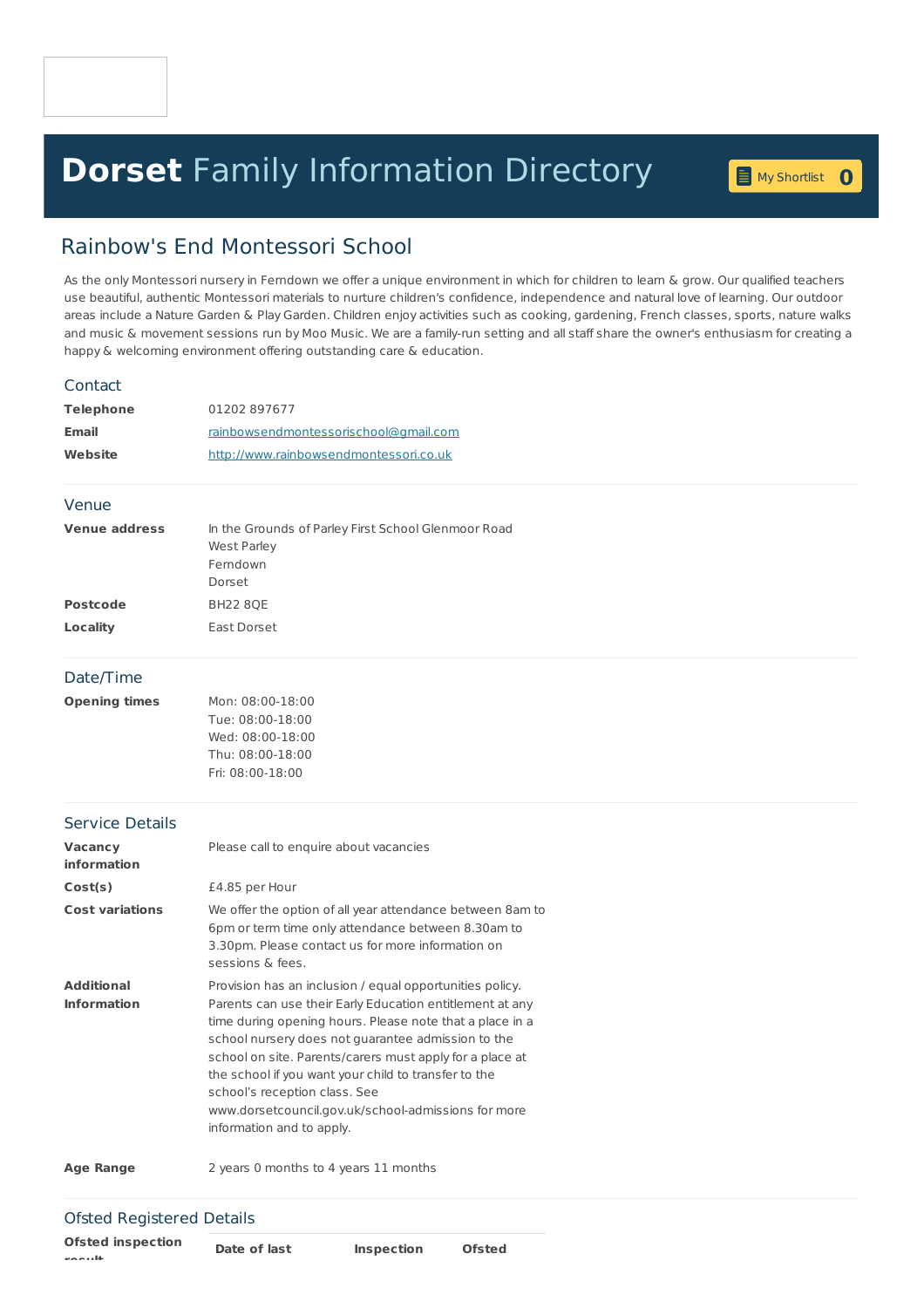# **Dorset** Family [Information](home.page) Directory **<sup>0</sup>**

# Rainbow's End Montessori School

As the only Montessori nursery in Ferndown we offer a unique environment in which for children to learn & grow. Our qualified teachers use beautiful, authentic Montessori materials to nurture children's confidence, independence and natural love of learning. Our outdoor areas include a Nature Garden & Play Garden. Children enjoy activities such as cooking, gardening, French classes, sports, nature walks and music & movement sessions run by Moo Music. We are a family-run setting and all staff share the owner's enthusiasm for creating a happy & welcoming environment offering outstanding care & education.

#### Contact

| <b>Telephone</b> | 01202897677                            |
|------------------|----------------------------------------|
| <b>Email</b>     | rainbowsendmontessorischool@gmail.com  |
| Website          | http://www.rainbowsendmontessori.co.uk |

#### Venue

| <b>Venue address</b> | In the Grounds of Parley First School Glenmoor Road<br>West Parley |
|----------------------|--------------------------------------------------------------------|
|                      | Ferndown                                                           |
|                      | Dorset                                                             |
| <b>Postcode</b>      | <b>BH22 80E</b>                                                    |
| Locality             | East Dorset                                                        |

### Date/Time

| Opening times | Mon: 08:00-18:00 |
|---------------|------------------|
|               | Tue: 08:00-18:00 |
|               | Wed: 08:00-18:00 |
|               | Thu: 08:00-18:00 |
|               | Fri: 08:00-18:00 |

#### Service Details

| <b>Vacancy</b><br>information           | Please call to enquire about vacancies                                                                                                                                                                                                                                                                                                                                                                                                                                          |
|-----------------------------------------|---------------------------------------------------------------------------------------------------------------------------------------------------------------------------------------------------------------------------------------------------------------------------------------------------------------------------------------------------------------------------------------------------------------------------------------------------------------------------------|
| Cost(s)                                 | £4.85 per Hour                                                                                                                                                                                                                                                                                                                                                                                                                                                                  |
| <b>Cost variations</b>                  | We offer the option of all year attendance between 8am to<br>6pm or term time only attendance between 8.30am to<br>3.30pm. Please contact us for more information on<br>sessions & fees.                                                                                                                                                                                                                                                                                        |
| <b>Additional</b><br><b>Information</b> | Provision has an inclusion / equal opportunities policy.<br>Parents can use their Early Education entitlement at any<br>time during opening hours. Please note that a place in a<br>school nursery does not quarantee admission to the<br>school on site. Parents/carers must apply for a place at<br>the school if you want your child to transfer to the<br>school's reception class. See<br>www.dorsetcouncil.gov.uk/school-admissions for more<br>information and to apply. |

**Age Range** 2 years 0 months to 4 years 11 months

## Ofsted Registered Details

**Ofsted inspection result**